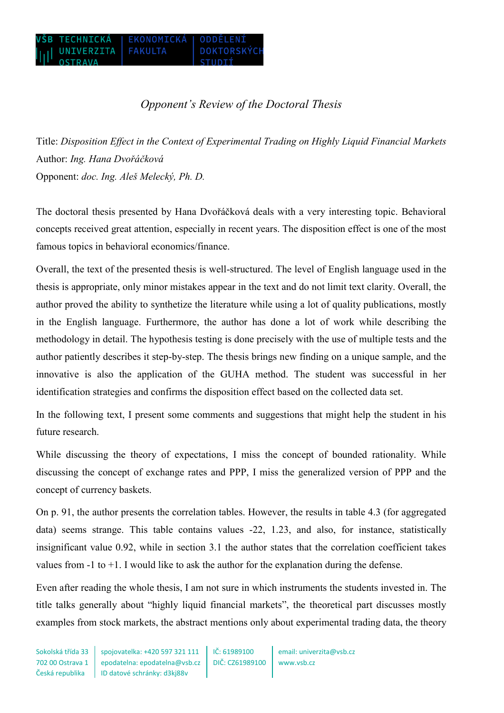## *Opponent's Review of the Doctoral Thesis*

Title: *Disposition Effect in the Context of Experimental Trading on Highly Liquid Financial Markets* Author: *Ing. Hana Dvořáčková* Opponent: *doc. Ing. Aleš Melecký, Ph. D.*

The doctoral thesis presented by Hana Dvořáčková deals with a very interesting topic. Behavioral concepts received great attention, especially in recent years. The disposition effect is one of the most famous topics in behavioral economics/finance.

Overall, the text of the presented thesis is well-structured. The level of English language used in the thesis is appropriate, only minor mistakes appear in the text and do not limit text clarity. Overall, the author proved the ability to synthetize the literature while using a lot of quality publications, mostly in the English language. Furthermore, the author has done a lot of work while describing the methodology in detail. The hypothesis testing is done precisely with the use of multiple tests and the author patiently describes it step-by-step. The thesis brings new finding on a unique sample, and the innovative is also the application of the GUHA method. The student was successful in her identification strategies and confirms the disposition effect based on the collected data set.

In the following text, I present some comments and suggestions that might help the student in his future research.

While discussing the theory of expectations, I miss the concept of bounded rationality. While discussing the concept of exchange rates and PPP, I miss the generalized version of PPP and the concept of currency baskets.

On p. 91, the author presents the correlation tables. However, the results in table 4.3 (for aggregated data) seems strange. This table contains values -22, 1.23, and also, for instance, statistically insignificant value 0.92, while in section 3.1 the author states that the correlation coefficient takes values from  $-1$  to  $+1$ . I would like to ask the author for the explanation during the defense.

Even after reading the whole thesis, I am not sure in which instruments the students invested in. The title talks generally about "highly liquid financial markets", the theoretical part discusses mostly examples from stock markets, the abstract mentions only about experimental trading data, the theory

Sokolská třída 33 702 00 Ostrava 1 Česká republika IČ: 61989100 DIČ: CZ61989100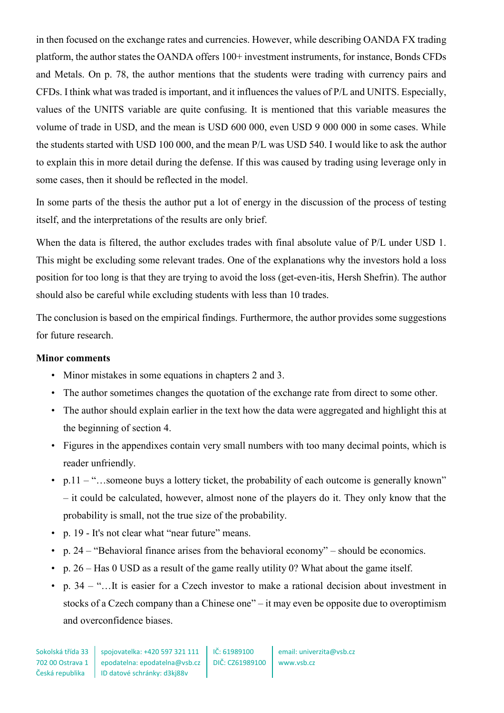in then focused on the exchange rates and currencies. However, while describing OANDA FX trading platform, the author states the OANDA offers 100+ investment instruments, for instance, Bonds CFDs and Metals. On p. 78, the author mentions that the students were trading with currency pairs and CFDs. I think what was traded is important, and it influences the values of P/L and UNITS. Especially, values of the UNITS variable are quite confusing. It is mentioned that this variable measures the volume of trade in USD, and the mean is USD 600 000, even USD 9 000 000 in some cases. While the students started with USD 100 000, and the mean P/L was USD 540. I would like to ask the author to explain this in more detail during the defense. If this was caused by trading using leverage only in some cases, then it should be reflected in the model.

In some parts of the thesis the author put a lot of energy in the discussion of the process of testing itself, and the interpretations of the results are only brief.

When the data is filtered, the author excludes trades with final absolute value of P/L under USD 1. This might be excluding some relevant trades. One of the explanations why the investors hold a loss position for too long is that they are trying to avoid the loss (get‐even‐itis, Hersh Shefrin). The author should also be careful while excluding students with less than 10 trades.

The conclusion is based on the empirical findings. Furthermore, the author provides some suggestions for future research.

## **Minor comments**

- Minor mistakes in some equations in chapters 2 and 3.
- The author sometimes changes the quotation of the exchange rate from direct to some other.
- The author should explain earlier in the text how the data were aggregated and highlight this at the beginning of section 4.
- Figures in the appendixes contain very small numbers with too many decimal points, which is reader unfriendly.
- p.11 "...someone buys a lottery ticket, the probability of each outcome is generally known" – it could be calculated, however, almost none of the players do it. They only know that the probability is small, not the true size of the probability.
- p. 19 It's not clear what "near future" means.
- p. 24 "Behavioral finance arises from the behavioral economy" should be economics.
- p. 26 Has 0 USD as a result of the game really utility 0? What about the game itself.
- p. 34 "…It is easier for a Czech investor to make a rational decision about investment in stocks of a Czech company than a Chinese one" – it may even be opposite due to overoptimism and overconfidence biases.

IČ: 61989100 DIČ: CZ61989100